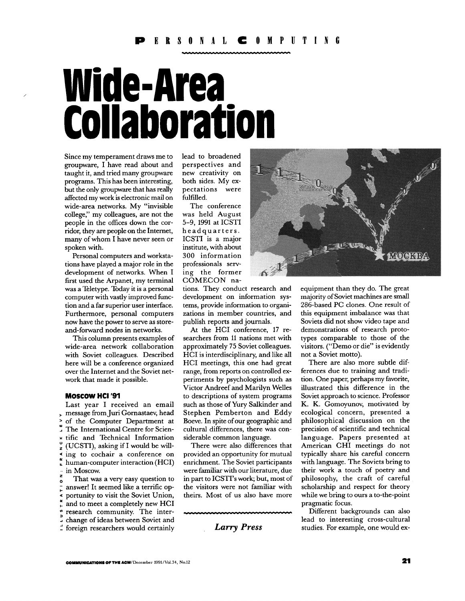# **Wide-Area Collaboration**

Since my temperament draws me to groupware, I have read about and taught it, and tried many groupware programs. This has been interesting, but the only groupware that has really affected my work is electronic mail on wide-area networks. My "invisible college." my colleagues, are not the people in the offices down the corridor, they are people on the Internet, many of whom I have never seen or spoken with.

Personal computers and workstations have played a major role in the development of networks. When I first used the Arpanet, my terminal was a Teletype. Today it is a personal computer with vastly improved function and a far superior user interface. Furthermore, personal computers now have the power to serve as storeand-forward nodes in networks.

This column presents examples of wide-area network collaboration with Soviet colleagues. Described here will be a conference organized over the Internet and the Soviet network that made it possible.

## **Moscow HCI '91**

Last year I received an email message fromJuri Gornastaev, head of the Computer Department at The International Centre for Scien tific and Technical Information (UCSTI), asking if I would be willing to cochair a conference on  $u$  human-computer interaction (HCI) in Moscow.

That was a very easy question to answer! It seemed like a terrific opportunity to visit the Soviet Union, and to meet a completely new HCI research community. The inter- , change of ideas between Soviet and foreign researchers would certainly lead to broadened perspectives and new creativity on both sides. My expectations were fulfilled.

The conference was held August 5-9, 1991 at ICSTI headquarters. ICSTI is a major institute, with about 300 information professionals serving the former COMECON na-

tions. They conduct research and development on information systems, provide information to organizations in member countries, and publish reports and journals.

At the HCI conference, 17 researchers from 11 nations met with approximately 75 Soviet colleagues. HCI is interdisciplinary, and like all HCI meetings, this one had great range, from reports on controlled experiments by psychologists such as Victor Andreef and Marilyn Welles to descriptions of system programs such as those of Yury Salkinder and Stephen Pemberton and Eddy Boeve. In spite of our geographic and cultural differences, there was considerable common language.

There were also differences that provided an opportunity for mutual enrichment. The Soviet participants were familiar with our literature, due in part to ICSTI's work; but, most of the visitors were not familiar with theirs. Most of us also have more



equipment than they do. The great majority of Soviet machines are small 286-based PC clones. One result of this equipment imbalance was that Soviets did not show video tape and demonstrations of research prototypes comparable to those of the visitors. ("Demo or die" is evidently not a Soviet motto).

There are also more subtle differences due to training and tradition. One paper, perhaps my favorite, illustrated this difference in the Soviet approach to science. Professor K. K. Gomoyunov, motivated by ecological concern, presented a philosophical discussion on the precision of scientific and technical language. Papers presented at American CHI meetings do not typically share his careful concern with language. The Soviets bring to their work a touch of poetry and philosophy, the craft of careful scholarship and respect for theory while we bring to ours a to-the-point pragmatic focus.

Different backgrounds can also lead to interesting cross-cultural studies. For example, one would ex-

*Larry Press*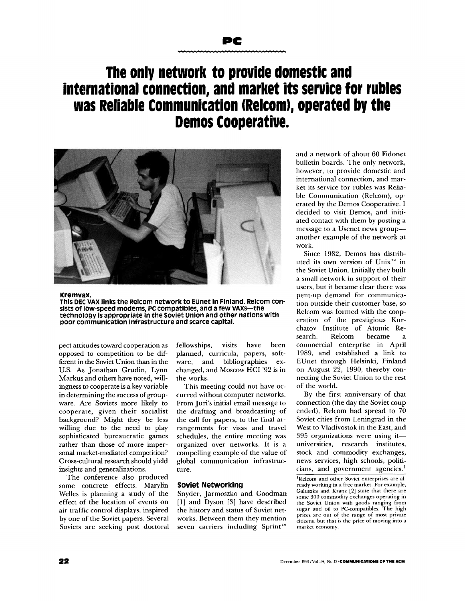## **The only network to provide domestic and international connection, and market its service for rubles was Reliable Communication (Relcom), operated by the Demos Cooperative.**



**Kremvax. This DEC VAX links the Relcom network to Eunet in Finland. Relcom con**sists of low-speed modems, PC compatibles, and a few VAXs--the

technology is appropriate in the Soviet Union and other nations with **poor communication Infrastructure and scarce capital.** 

pect attitudes toward cooperation as opposed to competition to be different in the Soviet Union than in the U.S. As Jonathan Grudin, Lynn Markus and others have noted, willingness to cooperate is a key variable in determining the success of groupware. Are Soviets more likely to cooperate, given their socialist background? Might they be less willing due to the need to play sophisticated bureaucratic games rather than those of more impersonal market-mediated competition? Cross-cultural research should yield insights and generalizations.

The conference also produced some concrete effects. Marylin Welles is planning a study of the effect of the location of events on air traffic control displays, inspired by one of the Soviet papers. Several Soviets are seeking post doctoral fellowships, visits have been planned, curricula, papers, software, and bibliographies exchanged, and Moscow HCI '92 is in the works.

This meeting could not have occurred without computer networks. From Juri's initial email message to the drafting and broadcasting of the call for papers, to the final arrangements for visas and travel schedules, the entire meeting was organized over networks. It is a compelling example of the value of global communication infrastructure.

## **soviet Networking**

Snyder, Jarmoszko and Goodman [1] and Dyson [3] have described the history and status of Soviet networks. Between them they mention seven carriers including Sprint<sup>™</sup>

and a network of about 60 Fidonet bulletin boards. The only network, however, to provide domestic and international connection, and market its service for rubles was Reliable Communication (Relcom), operated by the Demos Cooperative. I decided to visit Demos, and initiated contact with them by posting a message to a Usenet news group- another example of the network at work.

Since 1982, Demos has distributed its own version of Unix<sup>™</sup> in the Soviet Union. Initially they built a small network in support of their users, but it became clear there was pent-up demand for communication outside their customer base, so Relcom was formed with the cooperation of the prestigious Kurchatov Institute of Atomic Research. Relcom became commercial enterprise in April 1989, and established a link to EUnet through Helsinki, Finland on August 22, 1990, thereby connecting the Soviet Union to the rest of the world.

By the first anniversary of that connection (the day the Soviet coup ended), Relcom had spread to 70 Soviet cities from Leningrad in the West to Vladivostok in the East, and 395 organizations were using it- universities, research institutes, stock and commodity exchanges, news services, high schools, politicians, and government agencies.<sup>1</sup>

<sup>1</sup>Relcom and other Soviet enterprises are already working in a free market. For example, Galuszka and Kranz [2] state that there are some 300 commodity exchanges operating in the Soviet Union with goods ranging from sugar and oil to PC-compatibles. The high prices are out of the range of most private citizens, but that is the price of moving into a market economy.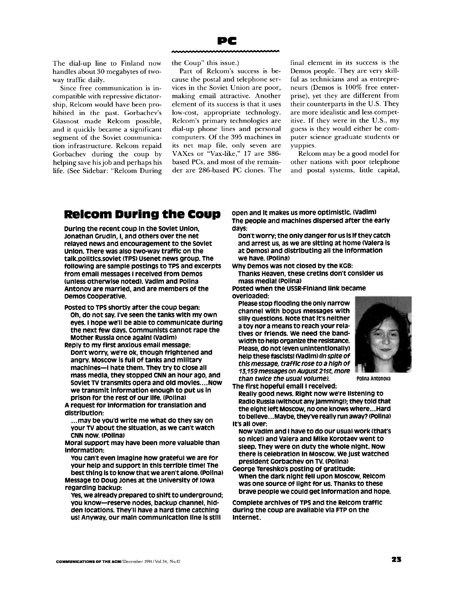The dial-up line to Finland now handles about 30 megabytes of twoway traffic daily.

Since free communication is incompatible with repressive dictatorship, Relcom would have been prohibited in the past. Gorbachev's Glasnost made Relcom possible, and it quickly became a significant segment of the Soviet communication infrastructure. Relcom repaid Gorbachev during the coup by helping save his job and perhaps his life. (See Sidebar: "Relcom During the Coup" this issue.)

Part of Relcom's success is because the postal and telephone services in the Soviet Union are poor, making email attractive. Another element of its success is that it uses low-cost, appropriate technology. Relcom's primary technologies are dial-up phone lines and personal computers. Of the 395 machines in its net map file, only seven are VAXes or "Vax-like," 17 are 386 based PCs, and most of the remainder are 286-based PC clones. The final element in its success is the Demos people. They are very skillful as technicians and as entrepreneurs (Demos is 100% free enterprise), yet they are different from their counterparts in the U.S. They are more idealistic and less competitive. If they were in the U.S., my guess is they would either be computer science graduate students or yuppies.

Relcom may be a good model for other nations with poor telephone and postal systems, little capital,

## **Relcom During the Coup**

During the recent coup In the Soviet Union, Jonathan Grudln, I, and others over the net relayed news and encouragement to the Soviet Union. There was also two-way traffic on the talk.politics.soviet (TPS) Usenet news group. The following are sample postlngs to TPS and excerpts from emall messages I received from Demos (unless otherwise noted). Vadlm and Pollna Antonov are married, and are members of the Demos Cooperative.

- Posted to TPS shortly after the coup began: Oh, do not say. I've seen the tanks with my own eyes. I hope we'll be able to communicate during the next few days. Communists cannot rape the Mother Russia once again! (Vadim)
- Reply to my first anxious emall message: Don't worry, we're ok, though frightened and angry. MOSCOW Is full of tanks and military machines--I hate them. They try to close all mass media, they stopped CNN an hour ago, and Soviet TV transmits opera and old movles....Now we transmit Information enough to put us in prison for the rest of our life. (Pollna)

A request for Information for translation and distribution:

...may be you'd write me what do they say on your TV about the situation, as we can't watch CNN now. (Pollna)

Moral support may have been more valuable than Information:

You can't even Imagine how grateful we are for your help and support in this terrible time! The best thing Is to know that we aren't alone. (Pollna) Message to DOUg Jones at the University of Iowa regarding backup:

Yes, we already prepared to shift to underground; you know-reserve nodes, backup channel, hidden locations. They'll have a hard time catching usl Anyway, our main communication line Is still

open and It makes us more optimistic. (Vadlm) The people and machines dispersed after the early days:

DOn't worry; the only danger for us Is If they catch and arrest us, as we are sitting at home (valera Is at Demos) and distributing all the Information we have. (Pollna)

Why Demos was not closed by the **KGB:** 

Thanks Heaven, these cretins don't consider us mass media! (pollna)

Posted when the USSR-Flnland link became overloaded:

Please stop flooding the only narrow channel with bogus messages with silly questions. Note that It's neither a toy nor a means to reach your relatives or friends. We need the bandwidth to help organize the resistance. Please, do not (even unintentionally) help these fasclstsl (Vadlm) *fin spite of this message, traffic* rose *to a high of 13,159 messages on August 21st, more than twice the usual volume).* Polina Antonova



The first hopeful emall I received:

Really good news. Right now we're listening to **Radio Russia (withOut any Jammlngl); they tOld that the eight left Moscow, no one knows where...Hard**  to believe...Maybe, they've really run away? (Polina) It's all over:

NOW Vadlm and I have to do our usual work (that's **so nlcel) and Valera and Mike Korotaev went to sleep. They were on duty the whOle** *night.* **NOW there Is celebration In MOSCOW. we Just watched president Gorbachev on TV. (Pollna)** 

**George Tereshko's posting of gratitude: when the dark night fell upon MOSCOW, Relcom was one source of light for us. Thanks tO these brave people we could get** *Information* **and hope.** 

**Complete archives of TPS and the Relcom traffic**  during the COUp are available via FTP on the Internet.